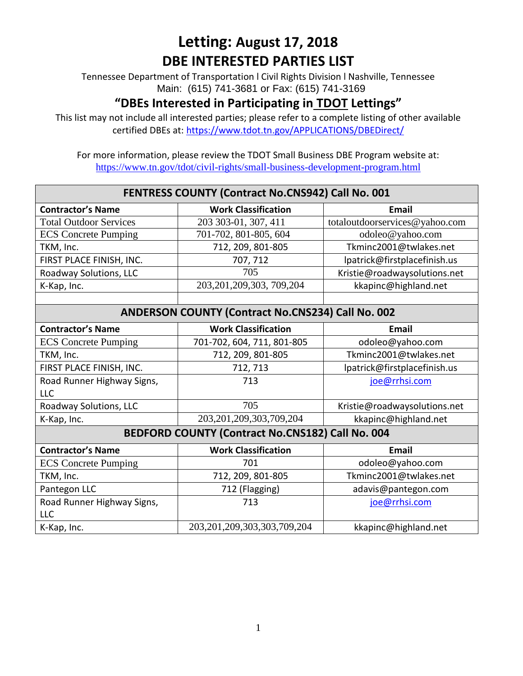Tennessee Department of Transportation l Civil Rights Division l Nashville, Tennessee Main: (615) 741-3681 or Fax: (615) 741-3169

#### **"DBEs Interested in Participating in TDOT Lettings"**

This list may not include all interested parties; please refer to a complete listing of other available certified DBEs at:<https://www.tdot.tn.gov/APPLICATIONS/DBEDirect/>

| FENTRESS COUNTY (Contract No.CNS942) Call No. 001        |                                   |                                |  |  |  |
|----------------------------------------------------------|-----------------------------------|--------------------------------|--|--|--|
| <b>Contractor's Name</b>                                 | <b>Work Classification</b>        | <b>Email</b>                   |  |  |  |
| <b>Total Outdoor Services</b>                            | 203 303-01, 307, 411              | totaloutdoorservices@yahoo.com |  |  |  |
| <b>ECS</b> Concrete Pumping                              | 701-702, 801-805, 604             | odoleo@yahoo.com               |  |  |  |
| TKM, Inc.                                                | 712, 209, 801-805                 | Tkminc2001@twlakes.net         |  |  |  |
| FIRST PLACE FINISH, INC.                                 | 707, 712                          | lpatrick@firstplacefinish.us   |  |  |  |
| Roadway Solutions, LLC                                   | 705                               | Kristie@roadwaysolutions.net   |  |  |  |
| K-Kap, Inc.                                              | 203, 201, 209, 303, 709, 204      | kkapinc@highland.net           |  |  |  |
|                                                          |                                   |                                |  |  |  |
| <b>ANDERSON COUNTY (Contract No.CNS234) Call No. 002</b> |                                   |                                |  |  |  |
| <b>Contractor's Name</b>                                 | <b>Work Classification</b>        | <b>Email</b>                   |  |  |  |
| <b>ECS</b> Concrete Pumping                              | 701-702, 604, 711, 801-805        | odoleo@yahoo.com               |  |  |  |
| TKM, Inc.                                                | 712, 209, 801-805                 | Tkminc2001@twlakes.net         |  |  |  |
| FIRST PLACE FINISH, INC.                                 | 712, 713                          | lpatrick@firstplacefinish.us   |  |  |  |
| Road Runner Highway Signs,                               | 713                               | joe@rrhsi.com                  |  |  |  |
| <b>LLC</b>                                               |                                   |                                |  |  |  |
| Roadway Solutions, LLC                                   | 705                               | Kristie@roadwaysolutions.net   |  |  |  |
| K-Kap, Inc.                                              | 203, 201, 209, 303, 709, 204      | kkapinc@highland.net           |  |  |  |
| BEDFORD COUNTY (Contract No.CNS182) Call No. 004         |                                   |                                |  |  |  |
| <b>Contractor's Name</b>                                 | <b>Work Classification</b>        | <b>Email</b>                   |  |  |  |
| <b>ECS</b> Concrete Pumping                              | 701                               | odoleo@yahoo.com               |  |  |  |
| TKM, Inc.                                                | 712, 209, 801-805                 | Tkminc2001@twlakes.net         |  |  |  |
| Pantegon LLC                                             | 712 (Flagging)                    | adavis@pantegon.com            |  |  |  |
| Road Runner Highway Signs,                               | 713                               | joe@rrhsi.com                  |  |  |  |
| <b>LLC</b>                                               |                                   |                                |  |  |  |
| K-Kap, Inc.                                              | 203, 201, 209, 303, 303, 709, 204 | kkapinc@highland.net           |  |  |  |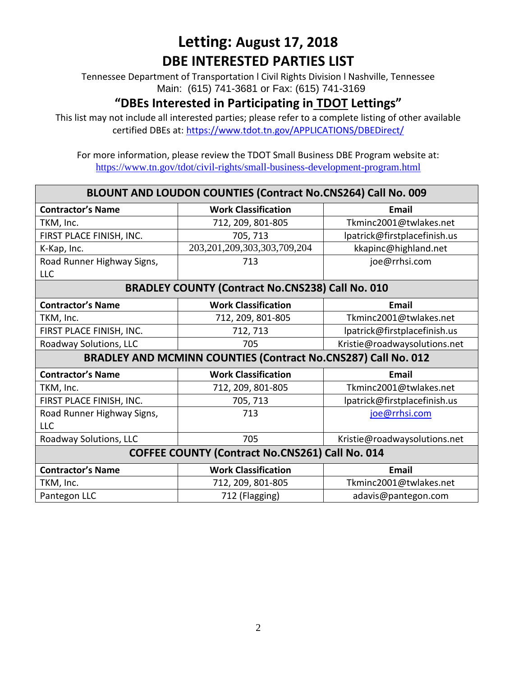Tennessee Department of Transportation l Civil Rights Division l Nashville, Tennessee Main: (615) 741-3681 or Fax: (615) 741-3169

### **"DBEs Interested in Participating in TDOT Lettings"**

This list may not include all interested parties; please refer to a complete listing of other available certified DBEs at:<https://www.tdot.tn.gov/APPLICATIONS/DBEDirect/>

| BLOUNT AND LOUDON COUNTIES (Contract No.CNS264) Call No. 009  |                                   |                              |  |  |  |
|---------------------------------------------------------------|-----------------------------------|------------------------------|--|--|--|
| <b>Contractor's Name</b>                                      | <b>Work Classification</b>        | <b>Email</b>                 |  |  |  |
| TKM, Inc.                                                     | 712, 209, 801-805                 | Tkminc2001@twlakes.net       |  |  |  |
| FIRST PLACE FINISH, INC.                                      | 705, 713                          | lpatrick@firstplacefinish.us |  |  |  |
| K-Kap, Inc.                                                   | 203, 201, 209, 303, 303, 709, 204 | kkapinc@highland.net         |  |  |  |
| Road Runner Highway Signs,                                    | 713                               | joe@rrhsi.com                |  |  |  |
| <b>LLC</b>                                                    |                                   |                              |  |  |  |
| <b>BRADLEY COUNTY (Contract No.CNS238) Call No. 010</b>       |                                   |                              |  |  |  |
| <b>Contractor's Name</b>                                      | <b>Work Classification</b>        | <b>Email</b>                 |  |  |  |
| TKM, Inc.                                                     | 712, 209, 801-805                 | Tkminc2001@twlakes.net       |  |  |  |
| FIRST PLACE FINISH, INC.                                      | 712, 713                          | lpatrick@firstplacefinish.us |  |  |  |
| Roadway Solutions, LLC                                        | 705                               | Kristie@roadwaysolutions.net |  |  |  |
| BRADLEY AND MCMINN COUNTIES (Contract No.CNS287) Call No. 012 |                                   |                              |  |  |  |
| <b>Contractor's Name</b>                                      | <b>Work Classification</b>        | Email                        |  |  |  |
| TKM, Inc.                                                     | 712, 209, 801-805                 | Tkminc2001@twlakes.net       |  |  |  |
| FIRST PLACE FINISH, INC.                                      | 705, 713                          | lpatrick@firstplacefinish.us |  |  |  |
| Road Runner Highway Signs,                                    | 713                               | joe@rrhsi.com                |  |  |  |
| <b>LLC</b>                                                    |                                   |                              |  |  |  |
| Roadway Solutions, LLC                                        | 705                               | Kristie@roadwaysolutions.net |  |  |  |
| <b>COFFEE COUNTY (Contract No.CNS261) Call No. 014</b>        |                                   |                              |  |  |  |
| <b>Contractor's Name</b>                                      | <b>Work Classification</b>        | Email                        |  |  |  |
| TKM, Inc.                                                     | 712, 209, 801-805                 | Tkminc2001@twlakes.net       |  |  |  |
| Pantegon LLC                                                  | 712 (Flagging)                    | adavis@pantegon.com          |  |  |  |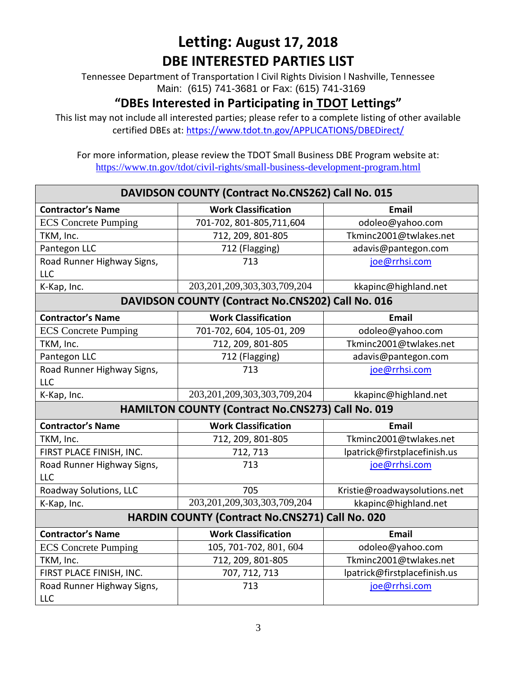Tennessee Department of Transportation l Civil Rights Division l Nashville, Tennessee Main: (615) 741-3681 or Fax: (615) 741-3169

### **"DBEs Interested in Participating in TDOT Lettings"**

This list may not include all interested parties; please refer to a complete listing of other available certified DBEs at:<https://www.tdot.tn.gov/APPLICATIONS/DBEDirect/>

| DAVIDSON COUNTY (Contract No.CNS262) Call No. 015 |                                                   |                              |  |  |  |
|---------------------------------------------------|---------------------------------------------------|------------------------------|--|--|--|
| <b>Contractor's Name</b>                          | <b>Work Classification</b>                        | <b>Email</b>                 |  |  |  |
| <b>ECS</b> Concrete Pumping                       | 701-702, 801-805, 711, 604                        | odoleo@yahoo.com             |  |  |  |
| TKM, Inc.                                         | 712, 209, 801-805                                 | Tkminc2001@twlakes.net       |  |  |  |
| Pantegon LLC                                      | 712 (Flagging)                                    | adavis@pantegon.com          |  |  |  |
| Road Runner Highway Signs,                        | 713                                               | joe@rrhsi.com                |  |  |  |
| <b>LLC</b>                                        |                                                   |                              |  |  |  |
| K-Kap, Inc.                                       | 203, 201, 209, 303, 303, 709, 204                 | kkapinc@highland.net         |  |  |  |
| DAVIDSON COUNTY (Contract No.CNS202) Call No. 016 |                                                   |                              |  |  |  |
| <b>Contractor's Name</b>                          | <b>Work Classification</b>                        | <b>Email</b>                 |  |  |  |
| <b>ECS</b> Concrete Pumping                       | 701-702, 604, 105-01, 209                         | odoleo@yahoo.com             |  |  |  |
| TKM, Inc.                                         | 712, 209, 801-805                                 | Tkminc2001@twlakes.net       |  |  |  |
| Pantegon LLC                                      | 712 (Flagging)                                    | adavis@pantegon.com          |  |  |  |
| Road Runner Highway Signs,                        | 713                                               | joe@rrhsi.com                |  |  |  |
| <b>LLC</b>                                        |                                                   |                              |  |  |  |
| K-Kap, Inc.                                       | 203, 201, 209, 303, 303, 709, 204                 | kkapinc@highland.net         |  |  |  |
|                                                   | HAMILTON COUNTY (Contract No.CNS273) Call No. 019 |                              |  |  |  |
| <b>Contractor's Name</b>                          | <b>Work Classification</b>                        | <b>Email</b>                 |  |  |  |
| TKM, Inc.                                         | 712, 209, 801-805                                 | Tkminc2001@twlakes.net       |  |  |  |
| FIRST PLACE FINISH, INC.                          | 712, 713                                          | lpatrick@firstplacefinish.us |  |  |  |
| Road Runner Highway Signs,                        | 713                                               | joe@rrhsi.com                |  |  |  |
| <b>LLC</b>                                        |                                                   |                              |  |  |  |
| Roadway Solutions, LLC                            | 705                                               | Kristie@roadwaysolutions.net |  |  |  |
| K-Kap, Inc.                                       | 203, 201, 209, 303, 303, 709, 204                 | kkapinc@highland.net         |  |  |  |
| HARDIN COUNTY (Contract No.CNS271) Call No. 020   |                                                   |                              |  |  |  |
| <b>Contractor's Name</b>                          | <b>Work Classification</b>                        | <b>Email</b>                 |  |  |  |
| <b>ECS</b> Concrete Pumping                       | 105, 701-702, 801, 604                            | odoleo@yahoo.com             |  |  |  |
| TKM, Inc.                                         | 712, 209, 801-805                                 | Tkminc2001@twlakes.net       |  |  |  |
| FIRST PLACE FINISH, INC.                          | 707, 712, 713                                     | lpatrick@firstplacefinish.us |  |  |  |
| Road Runner Highway Signs,                        | 713                                               | joe@rrhsi.com                |  |  |  |
| <b>LLC</b>                                        |                                                   |                              |  |  |  |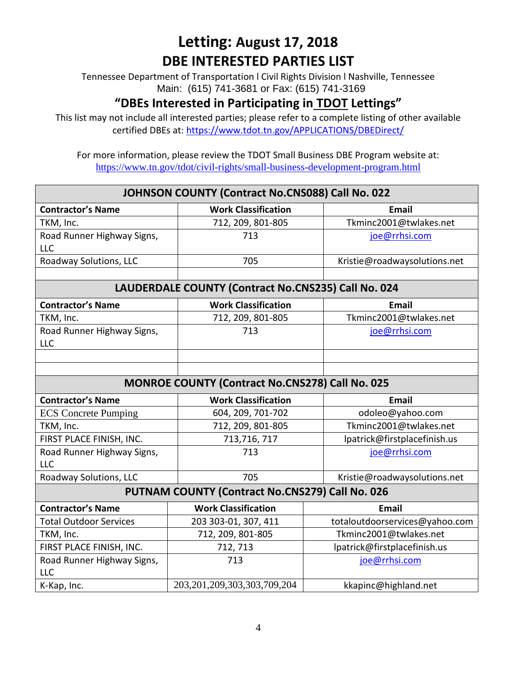Tennessee Department of Transportation l Civil Rights Division l Nashville, Tennessee Main: (615) 741-3681 or Fax: (615) 741-3169

#### **"DBEs Interested in Participating in TDOT Lettings"**

This list may not include all interested parties; please refer to a complete listing of other available certified DBEs at:<https://www.tdot.tn.gov/APPLICATIONS/DBEDirect/>

| JOHNSON COUNTY (Contract No.CNS088) Call No. 022    |                                                        |                                |  |  |  |  |
|-----------------------------------------------------|--------------------------------------------------------|--------------------------------|--|--|--|--|
| <b>Contractor's Name</b>                            | <b>Work Classification</b>                             | <b>Email</b>                   |  |  |  |  |
| TKM, Inc.                                           | 712, 209, 801-805                                      | Tkminc2001@twlakes.net         |  |  |  |  |
| Road Runner Highway Signs,<br><b>LLC</b>            | 713                                                    | joe@rrhsi.com                  |  |  |  |  |
| Roadway Solutions, LLC                              | 705                                                    | Kristie@roadwaysolutions.net   |  |  |  |  |
|                                                     |                                                        |                                |  |  |  |  |
| LAUDERDALE COUNTY (Contract No.CNS235) Call No. 024 |                                                        |                                |  |  |  |  |
| <b>Contractor's Name</b>                            | <b>Work Classification</b>                             | <b>Email</b>                   |  |  |  |  |
| TKM, Inc.                                           | 712, 209, 801-805                                      | Tkminc2001@twlakes.net         |  |  |  |  |
| Road Runner Highway Signs,<br>LLC                   | 713                                                    | joe@rrhsi.com                  |  |  |  |  |
|                                                     |                                                        |                                |  |  |  |  |
|                                                     |                                                        |                                |  |  |  |  |
|                                                     | <b>MONROE COUNTY (Contract No.CNS278) Call No. 025</b> |                                |  |  |  |  |
| <b>Contractor's Name</b>                            | <b>Work Classification</b>                             | <b>Email</b>                   |  |  |  |  |
| <b>ECS</b> Concrete Pumping                         | 604, 209, 701-702                                      | odoleo@yahoo.com               |  |  |  |  |
| TKM, Inc.                                           | 712, 209, 801-805                                      | Tkminc2001@twlakes.net         |  |  |  |  |
| FIRST PLACE FINISH, INC.                            | 713,716,717                                            | lpatrick@firstplacefinish.us   |  |  |  |  |
| Road Runner Highway Signs,                          | 713                                                    | joe@rrhsi.com                  |  |  |  |  |
| <b>LLC</b>                                          |                                                        |                                |  |  |  |  |
| Roadway Solutions, LLC                              | 705                                                    | Kristie@roadwaysolutions.net   |  |  |  |  |
| PUTNAM COUNTY (Contract No.CNS279) Call No. 026     |                                                        |                                |  |  |  |  |
| <b>Contractor's Name</b>                            | <b>Work Classification</b>                             | <b>Email</b>                   |  |  |  |  |
| <b>Total Outdoor Services</b>                       | 203 303-01, 307, 411                                   | totaloutdoorservices@yahoo.com |  |  |  |  |
| TKM, Inc.                                           | 712, 209, 801-805                                      | Tkminc2001@twlakes.net         |  |  |  |  |
| FIRST PLACE FINISH, INC.                            | 712, 713                                               | lpatrick@firstplacefinish.us   |  |  |  |  |
| Road Runner Highway Signs,<br><b>LLC</b>            | 713                                                    | joe@rrhsi.com                  |  |  |  |  |
| K-Kap, Inc.                                         | 203, 201, 209, 303, 303, 709, 204                      | kkapinc@highland.net           |  |  |  |  |